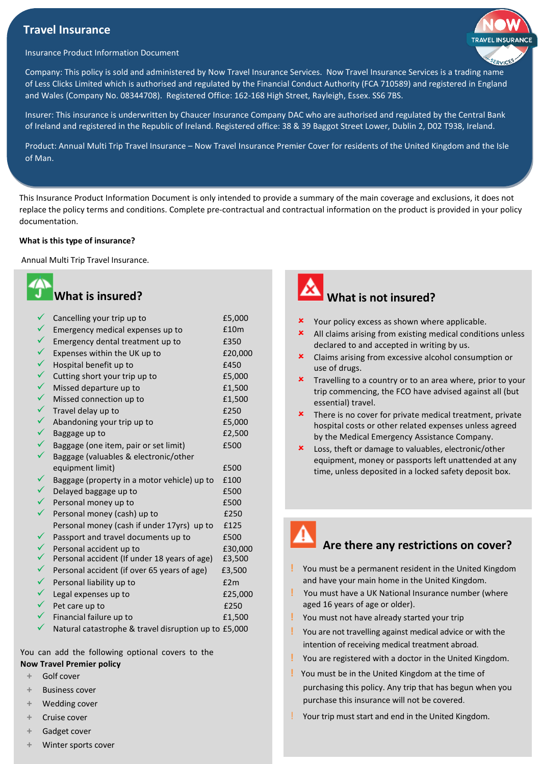## **Travel Insurance**



#### Insurance Product Information Document

Company: This policy is sold and administered by Now Travel Insurance Services. Now Travel Insurance Services is a trading name of Less Clicks Limited which is authorised and regulated by the Financial Conduct Authority (FCA 710589) and registered in England and Wales (Company No. 08344708). Registered Office: 162-168 High Street, Rayleigh, Essex. SS6 7BS.

Insurer: This insurance is underwritten by Chaucer Insurance Company DAC who are authorised and regulated by the Central Bank of Ireland and registered in the Republic of Ireland. Registered office: 38 & 39 Baggot Street Lower, Dublin 2, D02 T938, Ireland.

Product: Annual Multi Trip Travel Insurance – Now Travel Insurance Premier Cover for residents of the United Kingdom and the Isle of Man.

This Insurance Product Information Document is only intended to provide a summary of the main coverage and exclusions, it does not replace the policy terms and conditions. Complete pre-contractual and contractual information on the product is provided in your policy documentation.

#### **What is this type of insurance?**

Annual Multi Trip Travel Insurance.

| $\boldsymbol{Z}$ | <b>What is insured?</b>    |        |
|------------------|----------------------------|--------|
|                  | Cancelling your trip up to | £5,000 |

| ✓            | Emergency medical expenses up to                     | £10m    |
|--------------|------------------------------------------------------|---------|
| ✓            | Emergency dental treatment up to                     | £350    |
| $\checkmark$ | Expenses within the UK up to                         | £20,000 |
| $\checkmark$ | Hospital benefit up to                               | £450    |
| $\checkmark$ | Cutting short your trip up to                        | £5,000  |
| $\checkmark$ | Missed departure up to                               | £1,500  |
| $\checkmark$ | Missed connection up to                              | £1,500  |
| $\checkmark$ | Travel delay up to                                   | £250    |
| $\checkmark$ | Abandoning your trip up to                           | £5,000  |
| $\checkmark$ | Baggage up to                                        | £2,500  |
| $\checkmark$ | Baggage (one item, pair or set limit)                | £500    |
|              | Baggage (valuables & electronic/other                |         |
|              | equipment limit)                                     | £500    |
| $\checkmark$ | Baggage (property in a motor vehicle) up to          | £100    |
| $\checkmark$ | Delayed baggage up to                                | £500    |
| $\checkmark$ | Personal money up to                                 | £500    |
| $\checkmark$ | Personal money (cash) up to                          | £250    |
|              | Personal money (cash if under 17yrs) up to           | £125    |
| ✓            | Passport and travel documents up to                  | £500    |
| $\checkmark$ | Personal accident up to                              | £30,000 |
| $\checkmark$ | Personal accident (If under 18 years of age)         | £3,500  |
| $\checkmark$ | Personal accident (if over 65 years of age)          | £3,500  |
| $\checkmark$ | Personal liability up to                             | E2m     |
| $\checkmark$ | Legal expenses up to                                 | £25,000 |
| $\checkmark$ | Pet care up to                                       | £250    |
|              | Financial failure up to                              | £1,500  |
| ✓            | Natural catastrophe & travel disruption up to £5,000 |         |

You can add the following optional covers to the

- **Now Travel Premier policy**
	- **+** Golf cover
	- **+** Business cover
	- **+** Wedding cover
	- **+** Cruise cover
	- **+** Gadget cover
	- **+** Winter sports cover



- **x** Your policy excess as shown where applicable.
- All claims arising from existing medical conditions unless declared to and accepted in writing by us.
- Claims arising from excessive alcohol consumption or use of drugs.
- **x** Travelling to a country or to an area where, prior to your trip commencing, the FCO have advised against all (but essential) travel.
- $\boldsymbol{\star}$  There is no cover for private medical treatment, private hospital costs or other related expenses unless agreed by the Medical Emergency Assistance Company.
- Loss, theft or damage to valuables, electronic/other equipment, money or passports left unattended at any time, unless deposited in a locked safety deposit box.



## **Are there any restrictions on cover?**

- **!** You must be a permanent resident in the United Kingdom and have your main home in the United Kingdom.
- **!** You must have a UK National Insurance number (where aged 16 years of age or older).
- **!** You must not have already started your trip
- **!** You are not travelling against medical advice or with the intention of receiving medical treatment abroad.
- **!** You are registered with a doctor in the United Kingdom.
- **!** You must be in the United Kingdom at the time of purchasing this policy. Any trip that has begun when you purchase this insurance will not be covered.
- Your trip must start and end in the United Kingdom.